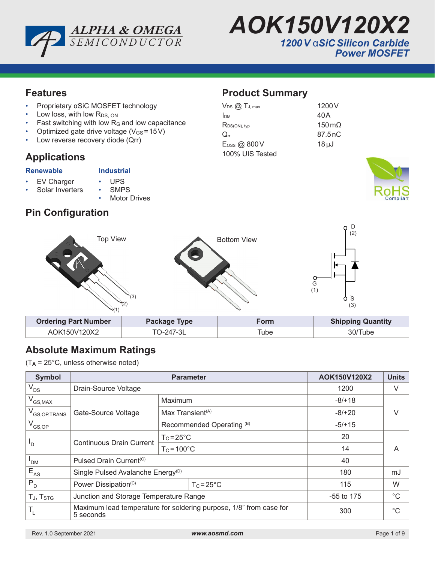



## **Features**

- Proprietary αSiC MOSFET technology
- Low loss, with low  $R_{DS, ON}$
- Fast switching with low  $R_G$  and low capacitance
- Optimized gate drive voltage  $(V_{GS} = 15V)$
- Low reverse recovery diode (Qrr)

## **Applications**

#### **Renewable Industrial**

- EV Charger UPS<br>Solar Inverters SMPS Solar Inverters
	-
	- **Motor Drives**

# **Pin Configuration**

## **Product Summary**

| $V_{DS}$ $\oslash$ $T_{J, max}$ | 1200 V        |
|---------------------------------|---------------|
| Ірм                             | 40 A          |
| $R_{DS(ON), typ}$               | 150 $m\Omega$ |
| $\mathsf{Q}_{\text{rr}}$        | 87.5 nC       |
| $E$ <sub>Oss</sub> @ 800 $V$    | $18 \mu J$    |
| 100% UIS Tested                 |               |





# **Absolute Maximum Ratings**

(T**A** = 25°C, unless otherwise noted)

| <b>Symbol</b>              | <b>Parameter</b>                                                                |                              |                     | AOK150V120X2 | <b>Units</b> |  |
|----------------------------|---------------------------------------------------------------------------------|------------------------------|---------------------|--------------|--------------|--|
| $V_{DS}$                   | Drain-Source Voltage                                                            |                              | 1200                | V            |              |  |
| $V_{GS,MAX}$               |                                                                                 | Maximum                      |                     | $-8/118$     |              |  |
| V <sub>GS, OP, TRANS</sub> | Gate-Source Voltage                                                             | Max Transient <sup>(A)</sup> |                     | $-8/+20$     | V            |  |
| $V_{GS,OP}$                |                                                                                 | Recommended Operating (B)    |                     | $-5/15$      |              |  |
| 'D                         | <b>Continuous Drain Current</b>                                                 | $T_c = 25^{\circ}C$          |                     | 20           | A            |  |
|                            |                                                                                 | $T_c = 100^{\circ}C$         |                     | 14           |              |  |
| ' <sub>DM</sub>            | Pulsed Drain Current <sup>(C)</sup>                                             |                              | 40                  |              |              |  |
| $E_{AS}$                   | Single Pulsed Avalanche Energy <sup>(D)</sup>                                   |                              | 180                 | mJ           |              |  |
| $P_{D}$                    | Power Dissipation <sup>(C)</sup>                                                |                              | $T_c = 25^{\circ}C$ | 115          | W            |  |
| TJ, T <sub>STG</sub>       | Junction and Storage Temperature Range                                          |                              | $-55$ to 175        | $^{\circ}C$  |              |  |
| ٠,                         | Maximum lead temperature for soldering purpose, 1/8" from case for<br>5 seconds |                              | 300                 | $^{\circ}C$  |              |  |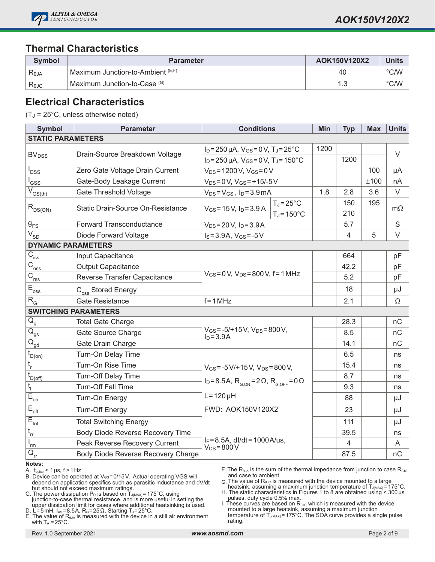

## **Thermal Characteristics**

| Symbol         | <b>Parameter</b>                              | AOK150V120X2 | <b>Units</b>  |
|----------------|-----------------------------------------------|--------------|---------------|
| Reja           | 「Maximum Junction-to-Ambient <sup>(E,F)</sup> | 40           | $\degree$ C/W |
| $R_{\theta$ JC | Maximum Junction-to-Case (G)                  |              | $\degree$ C/W |

## **Electrical Characteristics**

(T**J** = 25°C, unless otherwise noted)

| <b>Symbol</b>                                                                                             | <b>Parameter</b>                   | <b>Conditions</b>                                                                                      |                      | Min  | <b>Typ</b>     | <b>Max</b> | <b>Units</b> |
|-----------------------------------------------------------------------------------------------------------|------------------------------------|--------------------------------------------------------------------------------------------------------|----------------------|------|----------------|------------|--------------|
| <b>STATIC PARAMETERS</b>                                                                                  |                                    |                                                                                                        |                      |      |                |            |              |
| <b>BV<sub>DSS</sub></b>                                                                                   | Drain-Source Breakdown Voltage     | $I_D = 250 \,\mu A$ , $V_{GS} = 0 V$ , $T_J = 25^{\circ}C$                                             |                      | 1200 |                |            | $\vee$       |
|                                                                                                           |                                    | $I_D = 250 \mu A$ , $V_{GS} = 0 V$ , $T_J = 150^{\circ}C$                                              |                      |      | 1200           |            |              |
| I <sub>DSS</sub>                                                                                          | Zero Gate Voltage Drain Current    | $V_{DS} = 1200 V, V_{GS} = 0 V$                                                                        |                      |      |                | 100        | μA           |
| l <sub>GSS</sub>                                                                                          | Gate-Body Leakage Current          | $V_{DS} = 0 V$ , $V_{GS} = +15/-5 V$                                                                   |                      |      |                | ±100       | nA           |
| $\overline{V}_{GS(th)}$                                                                                   | <b>Gate Threshold Voltage</b>      | $V_{DS} = V_{GS}$ , $I_D = 3.9$ mA                                                                     |                      | 1.8  | 2.8            | 3.6        | V            |
| $R_{DS(ON)}$                                                                                              | Static Drain-Source On-Resistance  | $V_{GS} = 15V$ , $I_D = 3.9 A$                                                                         | $T_J = 25^{\circ}C$  |      | 150            | 195        | $m\Omega$    |
|                                                                                                           |                                    |                                                                                                        | $T_J = 150^{\circ}C$ |      | 210            |            |              |
| $g_{FS}$                                                                                                  | Forward Transconductance           | $V_{DS} = 20 V$ , $I_D = 3.9 A$                                                                        |                      |      | 5.7            |            | S            |
| $\sqrt{V}_{\text{SD}}$                                                                                    | Diode Forward Voltage              | $I_S = 3.9A$ , $V_{GS} = -5V$                                                                          |                      |      | $\overline{4}$ | 5          | $\vee$       |
| <b>DYNAMIC PARAMETERS</b>                                                                                 |                                    |                                                                                                        |                      |      |                |            |              |
| $\overline{C}_{\underline{\text{iss}}}$                                                                   | Input Capacitance                  |                                                                                                        |                      |      | 664            |            | pF           |
| $\overline{C}_{\underline{oss}}$                                                                          | <b>Output Capacitance</b>          | $V_{GS} = 0 V$ , $V_{DS} = 800 V$ , $f = 1 MHz$                                                        |                      |      | 42.2           |            | pF           |
| $\overline{C_{\rm rss}}$                                                                                  | Reverse Transfer Capacitance       |                                                                                                        |                      |      | 5.2            |            | pF           |
| $E_{\text{oss}}$                                                                                          | C <sub>oss</sub> Stored Energy     |                                                                                                        |                      |      | 18             |            | μJ           |
| $R_{G}$                                                                                                   | <b>Gate Resistance</b>             | $f = 1 MHz$                                                                                            |                      |      | 2.1            |            | Ω            |
| <b>SWITCHING PARAMETERS</b>                                                                               |                                    |                                                                                                        |                      |      |                |            |              |
| $\overline{Q}_{\underline{g}}$                                                                            | <b>Total Gate Charge</b>           |                                                                                                        |                      |      | 28.3           |            | nC           |
| $\overline{\mathsf{Q}}_{\underline{\mathsf{gs}}}$                                                         | Gate Source Charge                 | $V_{GS} = -5/+15 V$ , $V_{DS} = 800 V$ ,<br>$I_D = 3.9A$                                               |                      |      | 8.5            |            | nC           |
| $\overline{Q}_{\underline{gd}}$                                                                           | Gate Drain Charge                  |                                                                                                        |                      |      | 14.1           |            | nC           |
| $t_{D(0n)}$                                                                                               | Turn-On Delay Time                 |                                                                                                        |                      |      | 6.5            |            | ns           |
| $\mathfrak{t}_{\sf r}$                                                                                    | Turn-On Rise Time                  | $V_{GS} = -5 V/ + 15 V$ , $V_{DS} = 800 V$ ,                                                           |                      |      | 15.4           |            | ns           |
| $t_{D(off)}$                                                                                              | Turn-Off Delay Time                | $I_D = 8.5A$ , R <sub>G ON</sub> = 2Ω, R <sub>G OFF</sub> = 0Ω<br>$L = 120 \mu H$<br>FWD: AOK150V120X2 |                      |      | 8.7            |            | ns           |
| $t_{f}$                                                                                                   | Turn-Off Fall Time                 |                                                                                                        |                      |      | 9.3            |            | ns           |
| $\overline{E}_{\underline{on}}$                                                                           | Turn-On Energy                     |                                                                                                        |                      |      | 88             |            | μJ           |
| $\bar{\mathsf{E}}_{\mathsf{off}}$                                                                         | <b>Turn-Off Energy</b>             |                                                                                                        |                      |      | 23             |            | μJ           |
| $E_{\text{tot}}$                                                                                          | <b>Total Switching Energy</b>      |                                                                                                        |                      |      | 111            |            | μJ           |
| $t_{rr}$                                                                                                  | Body Diode Reverse Recovery Time   |                                                                                                        |                      |      | 39.5           |            | ns           |
| $(\bar{l}_{\underline{m}}% ,\bar{m}_{\underline{m}}% ,\bar{m}_{\underline{m}}% ,\bar{m}_{\underline{m}})$ | Peak Reverse Recovery Current      | $I_F = 8.5A$ , dl/dt = 1000A/us,<br>$V_{DS} = 800 V$                                                   |                      |      | $\overline{4}$ |            | A            |
| $\mathsf{Q}_{\mathsf{rr}}$                                                                                | Body Diode Reverse Recovery Charge |                                                                                                        |                      |      | 87.5           |            | nC           |

#### **Notes:**

A.  $t_{pulse}$  < 1 µs,  $f > 1$  Hz

- B. Device can be operated at VGS=0/15V. Actual operating VGS will depend on application specifics such as parasitic inductance and dV/dt but should not exceed maximum ratings.
- C. The power dissipation P<sub>D</sub> is based on T $_{\text{J(MAX)}}$ = 175°C, using junction-to-case thermal resistance, and is more useful in setting the upper dissipation limit for cases where additional heatsinking is used.
- D. L=5mH, I<sub>AS</sub>=8.5A, R<sub>G</sub>=25Ω, Starting T<sub>J</sub>=25°C. E. The value of  $R<sub>θJA</sub>$  is measured with the device in a still air environment

F. The R<sub>θJA</sub> is the sum of the thermal impedance from junction to case R<sub>θJC</sub> and case to ambient.

- $G$ . The value of R $_{\text{\tiny QUC}}$  is measured with the device mounted to a large heatsink, assuming a maximum junction temperature of T $_{\text{\tiny J(MAX)}}$ =175°C.
- H. The static characteristics in Figures 1 to 8 are obtained using  $<$  300 µs

pulses, duty cycle 0.5% max. I. These curves are based on  $R_{\theta\text{UC}}$  which is measured with the device mounted to a large heatsink, assuming a maximum junction<br>temperature of T<sub>J(MAX)</sub>=175°C. The SOA curve provides a single pulse

with  $T_A = 25^{\circ}$ C.

rating.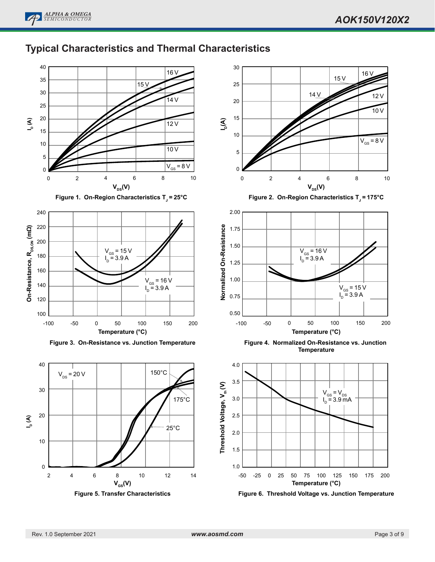# **Typical Characteristics and Thermal Characteristics**

30



**Figure 1. On-Region Characteristics T** $\mathrm{J}$  **= 25°C** 



**Figure 3. On-Resistance vs. Junction Temperature**



**Figure 5. Transfer Characteristics**





**Figure 6. Threshold Voltage vs. Junction Temperature**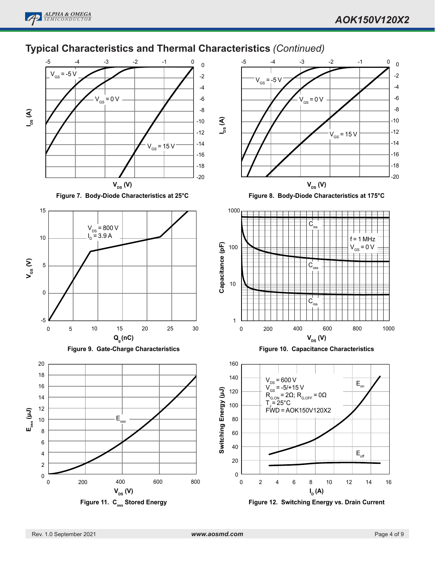## **Typical Characteristics and Thermal Characteristics** *(Continued)*

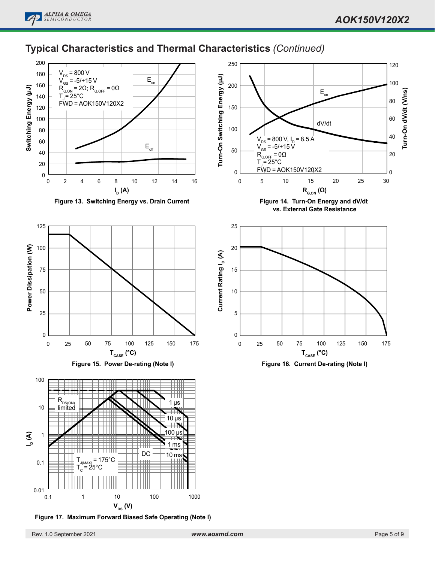

## **Typical Characteristics and Thermal Characteristics** *(Continued)*



**Figure 13. Switching Energy vs. Drain Current**







**Figure 17. Maximum Forward Biased Safe Operating (Note I)**



**Figure 14. Turn-On Energy and dV/dt vs. External Gate Resistance**

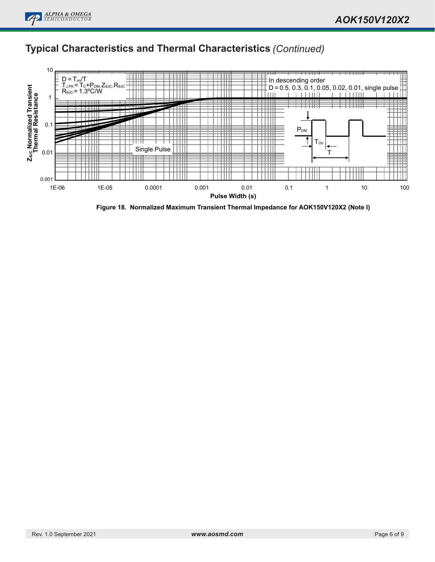## **Typical Characteristics and Thermal Characteristics** *(Continued)*



**Figure 18. Normalized Maximum Transient Thermal Impedance for AOK150V120X2 (Note I)**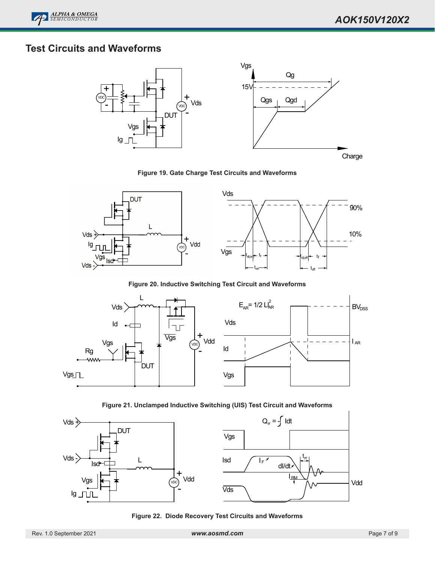# **Test Circuits and Waveforms**



**Figure 19. Gate Charge Test Circuits and Waveforms**



**Figure 20. Inductive Switching Test Circuit and Waveforms**



**Figure 21. Unclamped Inductive Switching (UIS) Test Circuit and Waveforms**



**Figure 22. Diode Recovery Test Circuits and Waveforms**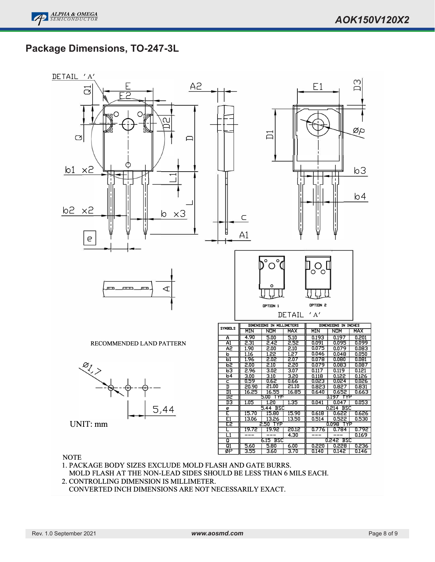----Ξ

-Ξ

 

Ξ

## **Package Dimensions, TO-247-3L**



**NOTE** 

- 1. PACKAGE BODY SIZES EXCLUDE MOLD FLASH AND GATE BURRS. MOLD FLASH AT THE NON-LEAD SIDES SHOULD BE LESS THAN 6 MILS EACH.
- 2. CONTROLLING DIMENSION IS MILLIMETER.
- CONVERTED INCH DIMENSIONS ARE NOT NECESSARILY EXACT.